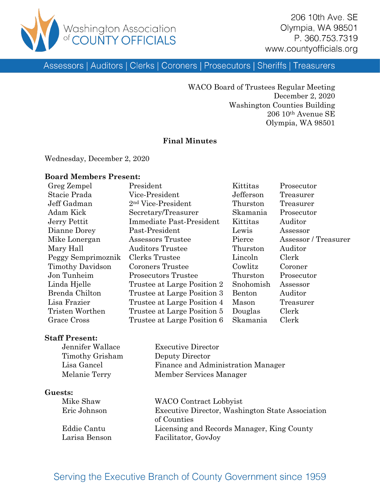

206 10th Ave. SE Olympia, WA 98501 P. 360.753.7319 www.countyofficials.org

Assessors | Auditors | Clerks | Coroners | Prosecutors | Sheriffs | Treasurers

WACO Board of Trustees Regular Meeting December 2, 2020 Washington Counties Building 206 10th Avenue SE Olympia, WA 98501

#### **Final Minutes**

Wednesday, December 2, 2020

#### **Board Members Present:**

| Greg Zempel             | President                      | Kittitas  | Prosecutor           |
|-------------------------|--------------------------------|-----------|----------------------|
| Stacie Prada            | Vice-President                 | Jefferson | Treasurer            |
| Jeff Gadman             | 2 <sup>nd</sup> Vice-President | Thurston  | Treasurer            |
| Adam Kick               | Secretary/Treasurer            | Skamania  | Prosecutor           |
| Jerry Pettit            | Immediate Past-President       | Kittitas  | Auditor              |
| Dianne Dorey            | Past-President                 | Lewis     | Assessor             |
| Mike Lonergan           | Assessors Trustee              | Pierce    | Assessor / Treasurer |
| Mary Hall               | <b>Auditors Trustee</b>        | Thurston  | Auditor              |
| Peggy Semprimoznik      | Clerks Trustee                 | Lincoln   | Clerk                |
| <b>Timothy Davidson</b> | <b>Coroners Trustee</b>        | Cowlitz   | Coroner              |
| Jon Tunheim             | <b>Prosecutors Trustee</b>     | Thurston  | Prosecutor           |
| Linda Hjelle            | Trustee at Large Position 2    | Snohomish | Assessor             |
| Brenda Chilton          | Trustee at Large Position 3    | Benton    | Auditor              |
| Lisa Frazier            | Trustee at Large Position 4    | Mason     | Treasurer            |
| Tristen Worthen         | Trustee at Large Position 5    | Douglas   | Clerk                |
| Grace Cross             | Trustee at Large Position 6    | Skamania  | Clerk                |

#### **Staff Present:**

| Jennifer Wallace | <b>Executive Director</b>          |
|------------------|------------------------------------|
| Timothy Grisham  | Deputy Director                    |
| Lisa Gancel      | Finance and Administration Manager |
| Melanie Terry    | Member Services Manager            |

#### **Guests:**

| Mike Shaw     | WACO Contract Lobbyist                           |
|---------------|--------------------------------------------------|
| Eric Johnson  | Executive Director, Washington State Association |
|               | of Counties                                      |
| Eddie Cantu   | Licensing and Records Manager, King County       |
| Larisa Benson | Facilitator, GovJoy                              |

## Serving the Executive Branch of County Government since 1959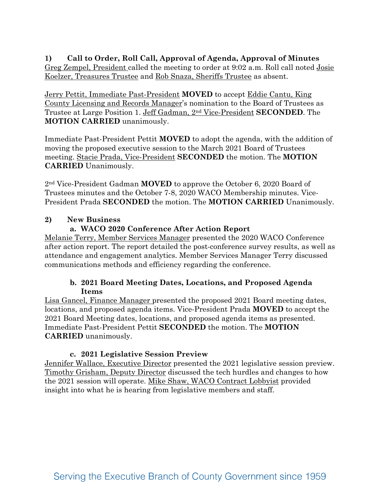**1) Call to Order, Roll Call, Approval of Agenda, Approval of Minutes**  Greg Zempel, President called the meeting to order at 9:02 a.m. Roll call noted Josie Koelzer, Treasures Trustee and Rob Snaza, Sheriffs Trustee as absent.

Jerry Pettit, Immediate Past-President **MOVED** to accept Eddie Cantu, King County Licensing and Records Manager's nomination to the Board of Trustees as Trustee at Large Position 1. Jeff Gadman, 2nd Vice-President **SECONDED**. The **MOTION CARRIED** unanimously.

Immediate Past-President Pettit **MOVED** to adopt the agenda, with the addition of moving the proposed executive session to the March 2021 Board of Trustees meeting. Stacie Prada, Vice-President **SECONDED** the motion. The **MOTION CARRIED** Unanimously.

2nd Vice-President Gadman **MOVED** to approve the October 6, 2020 Board of Trustees minutes and the October 7-8, 2020 WACO Membership minutes. Vice-President Prada **SECONDED** the motion. The **MOTION CARRIED** Unanimously.

## **2) New Business**

## **a. WACO 2020 Conference After Action Report**

Melanie Terry, Member Services Manager presented the 2020 WACO Conference after action report. The report detailed the post-conference survey results, as well as attendance and engagement analytics. Member Services Manager Terry discussed communications methods and efficiency regarding the conference.

#### **b. 2021 Board Meeting Dates, Locations, and Proposed Agenda Items**

Lisa Gancel, Finance Manager presented the proposed 2021 Board meeting dates, locations, and proposed agenda items. Vice-President Prada **MOVED** to accept the 2021 Board Meeting dates, locations, and proposed agenda items as presented. Immediate Past-President Pettit **SECONDED** the motion. The **MOTION CARRIED** unanimously.

#### **c. 2021 Legislative Session Preview**

Jennifer Wallace, Executive Director presented the 2021 legislative session preview. Timothy Grisham, Deputy Director discussed the tech hurdles and changes to how the 2021 session will operate. Mike Shaw, WACO Contract Lobbyist provided insight into what he is hearing from legislative members and staff.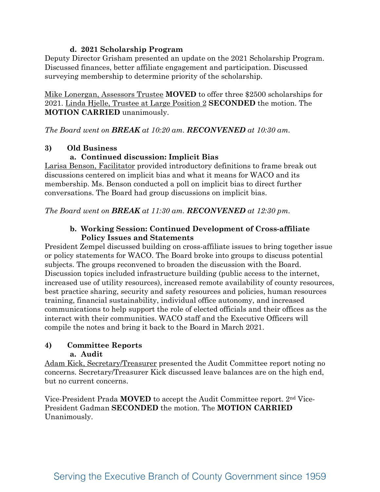#### **d. 2021 Scholarship Program**

Deputy Director Grisham presented an update on the 2021 Scholarship Program. Discussed finances, better affiliate engagement and participation. Discussed surveying membership to determine priority of the scholarship.

Mike Lonergan, Assessors Trustee **MOVED** to offer three \$2500 scholarships for 2021. Linda Hjelle, Trustee at Large Position 2 **SECONDED** the motion. The **MOTION CARRIED** unanimously.

*The Board went on BREAK at 10:20 am. RECONVENED at 10:30 am.*

#### **3) Old Business**

## **a. Continued discussion: Implicit Bias**

Larisa Benson, Facilitator provided introductory definitions to frame break out discussions centered on implicit bias and what it means for WACO and its membership. Ms. Benson conducted a poll on implicit bias to direct further conversations. The Board had group discussions on implicit bias.

*The Board went on BREAK at 11:30 am. RECONVENED at 12:30 pm.*

#### **b. Working Session: Continued Development of Cross-affiliate Policy Issues and Statements**

President Zempel discussed building on cross-affiliate issues to bring together issue or policy statements for WACO. The Board broke into groups to discuss potential subjects. The groups reconvened to broaden the discussion with the Board. Discussion topics included infrastructure building (public access to the internet, increased use of utility resources), increased remote availability of county resources, best practice sharing, security and safety resources and policies, human resources training, financial sustainability, individual office autonomy, and increased communications to help support the role of elected officials and their offices as the interact with their communities. WACO staff and the Executive Officers will compile the notes and bring it back to the Board in March 2021.

# **4) Committee Reports**

#### **a. Audit**

Adam Kick, Secretary/Treasurer presented the Audit Committee report noting no concerns. Secretary/Treasurer Kick discussed leave balances are on the high end, but no current concerns.

Vice-President Prada **MOVED** to accept the Audit Committee report. 2nd Vice-President Gadman **SECONDED** the motion. The **MOTION CARRIED** Unanimously.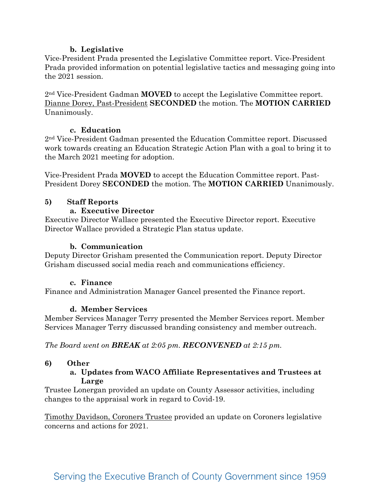#### **b. Legislative**

Vice-President Prada presented the Legislative Committee report. Vice-President Prada provided information on potential legislative tactics and messaging going into the 2021 session.

2nd Vice-President Gadman **MOVED** to accept the Legislative Committee report. Dianne Dorey, Past-President **SECONDED** the motion. The **MOTION CARRIED** Unanimously.

#### **c. Education**

2nd Vice-President Gadman presented the Education Committee report. Discussed work towards creating an Education Strategic Action Plan with a goal to bring it to the March 2021 meeting for adoption.

Vice-President Prada **MOVED** to accept the Education Committee report. Past-President Dorey **SECONDED** the motion. The **MOTION CARRIED** Unanimously.

## **5) Staff Reports**

#### **a. Executive Director**

Executive Director Wallace presented the Executive Director report. Executive Director Wallace provided a Strategic Plan status update.

#### **b. Communication**

Deputy Director Grisham presented the Communication report. Deputy Director Grisham discussed social media reach and communications efficiency.

#### **c. Finance**

Finance and Administration Manager Gancel presented the Finance report.

#### **d. Member Services**

Member Services Manager Terry presented the Member Services report. Member Services Manager Terry discussed branding consistency and member outreach.

*The Board went on BREAK at 2:05 pm. RECONVENED at 2:15 pm.*

#### **6) Other**

#### **a. Updates from WACO Affiliate Representatives and Trustees at Large**

Trustee Lonergan provided an update on County Assessor activities, including changes to the appraisal work in regard to Covid-19.

Timothy Davidson, Coroners Trustee provided an update on Coroners legislative concerns and actions for 2021.